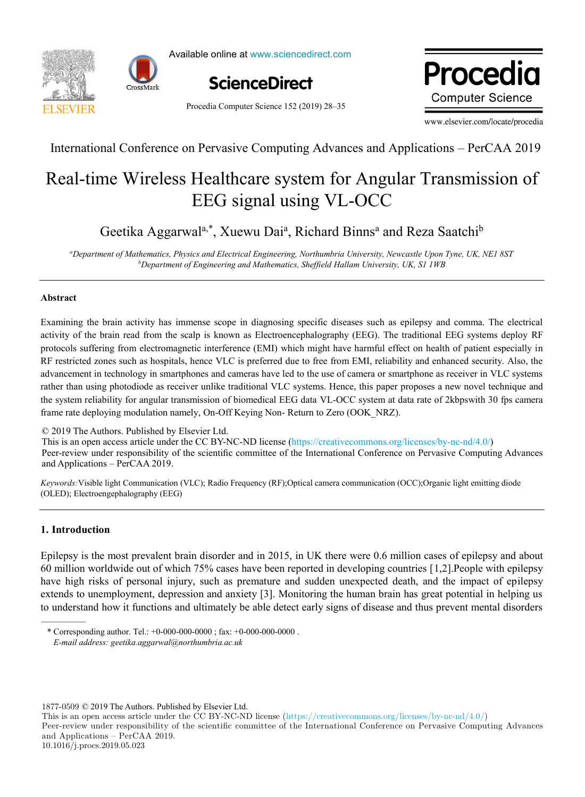



Available online at www.sciencedirect.com



Procedia Computer Science 152 (2019) 28–35

Procedia **Computer Science** 

www.elsevier.com/locate/procedia

International Conference on Pervasive Computing Advances and Applications – PerCAA 2019

# Real-time Wireless Healthcare system for Angular Transmission of EEG signal using VL-OCC

Geetika Aggarwal<sup>a,\*</sup>, Xuewu Dai<sup>a</sup>, Richard Binns<sup>a</sup> and Reza Saatchi<sup>b</sup>

*a Department of Mathematics, Physics and Electrical Engineering, Northumbria University, Newcastle Upon Tyne, UK, NE1 8ST b Department of Engineering and Mathematics, Sheffield Hallam University, UK, S1 1WB*

## **Abstract**

Examining the brain activity has immense scope in diagnosing specific diseases such as epilepsy and comma. The electrical activity of the brain read from the scalp is known as Electroencephalography (EEG). The traditional EEG systems deploy RF protocols suffering from electromagnetic interference (EMI) which might have harmful effect on health of patient especially in RF restricted zones such as hospitals, hence VLC is preferred due to free from EMI, reliability and enhanced security. Also, the advancement in technology in smartphones and cameras have led to the use of camera or smartphone as receiver in VLC systems rather than using photodiode as receiver unlike traditional VLC systems. Hence, this paper proposes a new novel technique and the system reliability for angular transmission of biomedical EEG data VL-OCC system at data rate of 2kbpswith 30 fps camera frame rate deploying modulation namely, On-Off Keying Non- Return to Zero (OOK\_NRZ).

© 2019 The Authors. Published by Elsevier Ltd.

This is an open access article under the CC BY-NC-ND license (https://creativecommons.org/licenses/by-nc-nd/4.0/) Peer-review under responsibility of the scientific committee of the International Conference on Pervasive Computing Advances This is an operator access article under the Commons. This is an operator of the Commons of the Company and Applications – PerCAA 2019.

*Keywords:*Visible light Communication (VLC); Radio Frequency (RF);Optical camera communication (OCC);Organic light emitting diode (OLED); Electroengephalography (EEG)

## **1. Introduction**

Epilepsy is the most prevalent brain disorder and in 2015, in UK there were 0.6 million cases of epilepsy and about 60 million worldwide out of which 75% cases have been reported in developing countries [1,2].People with epilepsy have high risks of personal injury, such as premature and sudden unexpected death, and the impact of epilepsy extends to unemployment, depression and anxiety [3]. Monitoring the human brain has great potential in helping us to understand how it functions and ultimately be able detect early signs of disease and thus prevent mental disorders

1877-0509 © 2019 The Authors. Published by Elsevier Ltd.

Peer-review under responsibility of the scientific committee of the International Conference on Pervasive Computing Advances and Applications – PerCAA 2019. 10.1016/j.procs.2019.05.023

<sup>\*</sup> Corresponding author. Tel.: +0-000-000-0000 ; fax: +0-000-000-0000 .

*E-mail address: geetika.aggarwal@northumbria.ac.uk*

This is an open access article under the CC BY-NC-ND license (https://creativecommons.org/licenses/by-nc-nd/4.0/)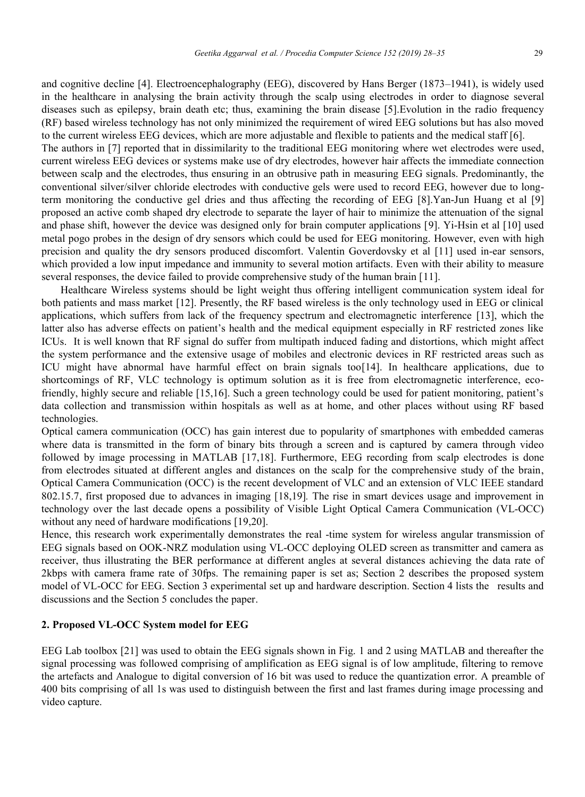and cognitive decline [4]. Electroencephalography (EEG), discovered by Hans Berger (1873–1941), is widely used in the healthcare in analysing the brain activity through the scalp using electrodes in order to diagnose several diseases such as epilepsy, brain death etc; thus, examining the brain disease [5].Evolution in the radio frequency (RF) based wireless technology has not only minimized the requirement of wired EEG solutions but has also moved to the current wireless EEG devices, which are more adjustable and flexible to patients and the medical staff [6].

The authors in [7] reported that in dissimilarity to the traditional EEG monitoring where wet electrodes were used, current wireless EEG devices or systems make use of dry electrodes, however hair affects the immediate connection between scalp and the electrodes, thus ensuring in an obtrusive path in measuring EEG signals. Predominantly, the conventional silver/silver chloride electrodes with conductive gels were used to record EEG, however due to longterm monitoring the conductive gel dries and thus affecting the recording of EEG [8].Yan-Jun Huang et al [9] proposed an active comb shaped dry electrode to separate the layer of hair to minimize the attenuation of the signal and phase shift, however the device was designed only for brain computer applications [9]. Yi-Hsin et al [10] used metal pogo probes in the design of dry sensors which could be used for EEG monitoring. However, even with high precision and quality the dry sensors produced discomfort. Valentin Goverdovsky et al [11] used in-ear sensors, which provided a low input impedance and immunity to several motion artifacts. Even with their ability to measure several responses, the device failed to provide comprehensive study of the human brain [11].

 Healthcare Wireless systems should be light weight thus offering intelligent communication system ideal for both patients and mass market [12]. Presently, the RF based wireless is the only technology used in EEG or clinical applications, which suffers from lack of the frequency spectrum and electromagnetic interference [13], which the latter also has adverse effects on patient's health and the medical equipment especially in RF restricted zones like ICUs. It is well known that RF signal do suffer from multipath induced fading and distortions, which might affect the system performance and the extensive usage of mobiles and electronic devices in RF restricted areas such as ICU might have abnormal have harmful effect on brain signals too[14]. In healthcare applications, due to shortcomings of RF, VLC technology is optimum solution as it is free from electromagnetic interference, ecofriendly, highly secure and reliable [15,16]. Such a green technology could be used for patient monitoring, patient's data collection and transmission within hospitals as well as at home, and other places without using RF based technologies.

Optical camera communication (OCC) has gain interest due to popularity of smartphones with embedded cameras where data is transmitted in the form of binary bits through a screen and is captured by camera through video followed by image processing in MATLAB [17,18]. Furthermore, EEG recording from scalp electrodes is done from electrodes situated at different angles and distances on the scalp for the comprehensive study of the brain, Optical Camera Communication (OCC) is the recent development of VLC and an extension of VLC IEEE standard 802.15.7, first proposed due to advances in imaging [18,19]*.* The rise in smart devices usage and improvement in technology over the last decade opens a possibility of Visible Light Optical Camera Communication (VL-OCC) without any need of hardware modifications [19,20].

Hence, this research work experimentally demonstrates the real -time system for wireless angular transmission of EEG signals based on OOK-NRZ modulation using VL-OCC deploying OLED screen as transmitter and camera as receiver, thus illustrating the BER performance at different angles at several distances achieving the data rate of 2kbps with camera frame rate of 30fps. The remaining paper is set as; Section 2 describes the proposed system model of VL-OCC for EEG. Section 3 experimental set up and hardware description. Section 4 lists the results and discussions and the Section 5 concludes the paper.

### **2. Proposed VL-OCC System model for EEG**

EEG Lab toolbox [21] was used to obtain the EEG signals shown in Fig. 1 and 2 using MATLAB and thereafter the signal processing was followed comprising of amplification as EEG signal is of low amplitude, filtering to remove the artefacts and Analogue to digital conversion of 16 bit was used to reduce the quantization error. A preamble of 400 bits comprising of all 1s was used to distinguish between the first and last frames during image processing and video capture.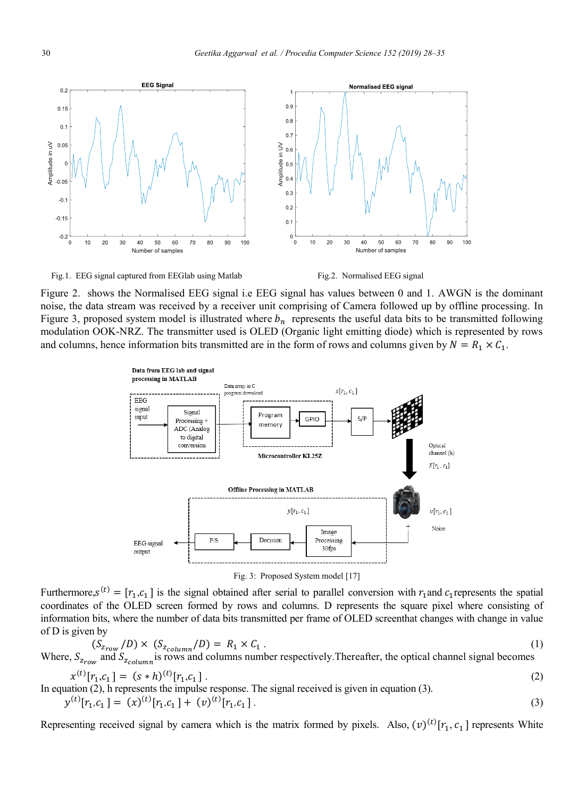$0.9$ 

 $0.8$ 

 $0.7$ 

 $0.5$ 

 $0.3$ 

 $02$ 

 $0<sup>1</sup>$ 

΄o  $10$  $20$ 

in UV  $0.6$ plitude

Fig.1. EEG signal captured from EEGlab using Matlab Fig.2. Normalised EEG signal

Number of samples

**EEG Signal** 



Number of samples

40 50 60 70  $80$ 90  $100$ 

30

Normalised EEG signal

Figure 2. shows the Normalised EEG signal i.e EEG signal has values between 0 and 1. AWGN is the dominant noise, the data stream was received by a receiver unit comprising of Camera followed up by offline processing. In Figure 3, proposed system model is illustrated where  $b_n$  represents the useful data bits to be transmitted following modulation OOK-NRZ. The transmitter used is OLED (Organic light emitting diode) which is represented by rows and columns, hence information bits transmitted are in the form of rows and columns given by  $N = R_1 \times C_1$ .



Furthermore,  $s^{(t)} = [r_1, c_1]$  is the signal obtained after serial to parallel conversion with  $r_1$  and  $c_1$  represents the spatial coordinates of the OLED screen formed by rows and columns. D represents the square pixel where consisting of information bits, where the number of data bits transmitted per frame of OLED screenthat changes with change in value of D is given by

$$
(S_{z_{row}}/D) \times (S_{z_{column}}/D) = R_1 \times C_1
$$
\nWhere,  $S_{z_{row}}$  and  $S_{z_{column}}$  is rows and columns number respectively. Thereafter, the optical channel signal becomes

$$
x^{(t)}[r_1, c_1] = (s * h)^{(t)}[r_1, c_1].
$$
\n
$$
x^{(t)}[r_1, c_1] = (s * h)^{(t)}[r_1, c_1].
$$
\n
$$
x^{(t)}[r_1, c_1] = (s * h)^{(t)}[r_1, c_1].
$$
\n
$$
x^{(t)}[r_1, c_1] = (s * h)^{(t)}[r_1, c_1].
$$
\n
$$
x^{(t)}[r_1, c_1] = (s * h)^{(t)}[r_1, c_1].
$$
\n
$$
x^{(t)}[r_1, c_1] = (s * h)^{(t)}[r_1, c_1] = (s * h)^{(t)}[r_1, c_1] = (s * h)^{(t)}[r_1, c_1] = (s * h)^{(t)}[r_1, c_1] = (s * h)^{(t)}[r_1, c_1] = (s * h)^{(t)}[r_1, c_1] = (s * h)^{(t)}[r_1, c_1] = (s * h)^{(t)}[r_1, c_1] = (s * h)^{(t)}[r_1, c_1] = (s * h)^{(t)}[r_1, c_1] = (s * h)^{(t)}[r_1, c_1] = (s * h)^{(t)}[r_1, c_1] = (s * h)^{(t)}[r_1, c_1] = (s * h)^{(t)}[r_1, c_1] = (s * h)^{(t)}[r_1, c_1] = (s * h)^{(t)}[r_1, c_1] = (s * h)^{(t)}[r_1, c_1] = (s * h)^{(t)}[r_1, c_1] = (s * h)^{(t)}[r_1, c_1] = (s * h)^{(t)}[r_1, c_1] = (s * h)^{(t)}[r_1, c_1] = (s * h)^{(t)}[r_1, c_1] = (s * h)^{(t)}[r_1, c_1] = (s * h)^{(t)}[r_1, c_1] = (s * h)^{(t)}[r_1, c_1] = (s * h)^{(t)}[r_1, c_1] = (s * h)^{(t)}[r_1, c_1] = (s * h)^{(t)}[r_1, c_1] = (s * h)^{(t)}[r_1, c_1] = (s * h)^{(t)}[r_1
$$

In equation (2), h represents the impulse response. The signal received is given in equation (3).  $y^{(t)}[r_1, c_1] = (x)^{(t)}[r_1, c_1] + (v)^{(t)}$  $[r_1, c_1]$ . (3)

Representing received signal by camera which is the matrix formed by pixels. Also,  $(v)^{(t)}[r_1, c_1]$  represents White

 $0.2$ 

 $0.15$ 

 $0.1$ 

 $0.05$ 

 $-0.05$ 

 $-0.1$ 

 $-0.15$ 

 $-0.2$ 

 $\overline{0}$  $10$ 20  $30$ 40 50 60 70 80 90 100

 $\theta$ 

Amplitude in uV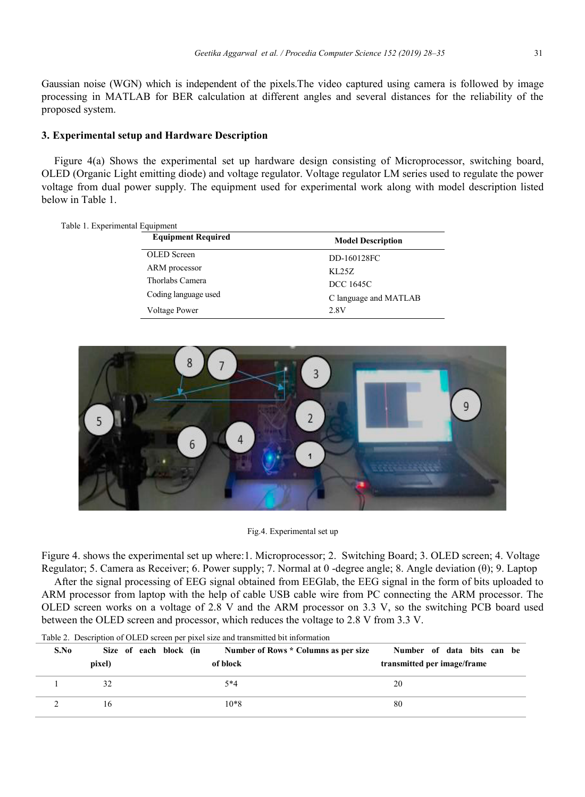Gaussian noise (WGN) which is independent of the pixels.The video captured using camera is followed by image processing in MATLAB for BER calculation at different angles and several distances for the reliability of the proposed system.

## **3. Experimental setup and Hardware Description**

Figure 4(a) Shows the experimental set up hardware design consisting of Microprocessor, switching board, OLED (Organic Light emitting diode) and voltage regulator. Voltage regulator LM series used to regulate the power voltage from dual power supply. The equipment used for experimental work along with model description listed below in Table 1.

| Table 1. Experimental Equipment |                           |                          |
|---------------------------------|---------------------------|--------------------------|
|                                 | <b>Equipment Required</b> | <b>Model Description</b> |
|                                 | <b>OLED</b> Screen        | DD-160128FC              |
|                                 | ARM processor             | KL25Z                    |
|                                 | Thorlabs Camera           | DCC 1645C                |
|                                 | Coding language used      | C language and MATLAB    |
|                                 | <b>Voltage Power</b>      | 2.8V                     |



Fig.4. Experimental set up

Figure 4. shows the experimental set up where:1. Microprocessor; 2. Switching Board; 3. OLED screen; 4. Voltage Regulator; 5. Camera as Receiver; 6. Power supply; 7. Normal at 0 -degree angle; 8. Angle deviation (θ); 9. Laptop

After the signal processing of EEG signal obtained from EEGlab, the EEG signal in the form of bits uploaded to ARM processor from laptop with the help of cable USB cable wire from PC connecting the ARM processor. The OLED screen works on a voltage of 2.8 V and the ARM processor on 3.3 V, so the switching PCB board used between the OLED screen and processor, which reduces the voltage to 2.8 V from 3.3 V.

| S.No |        | Size of each block (in | Number of Rows * Columns as per size<br>Number of data bits can be |
|------|--------|------------------------|--------------------------------------------------------------------|
|      | pixel) | of block               | transmitted per image/frame                                        |
|      |        | 5*4                    | 20                                                                 |
|      | 16     | $10*8$                 | 80                                                                 |

Table 2. Description of OLED screen per pixel size and transmitted bit information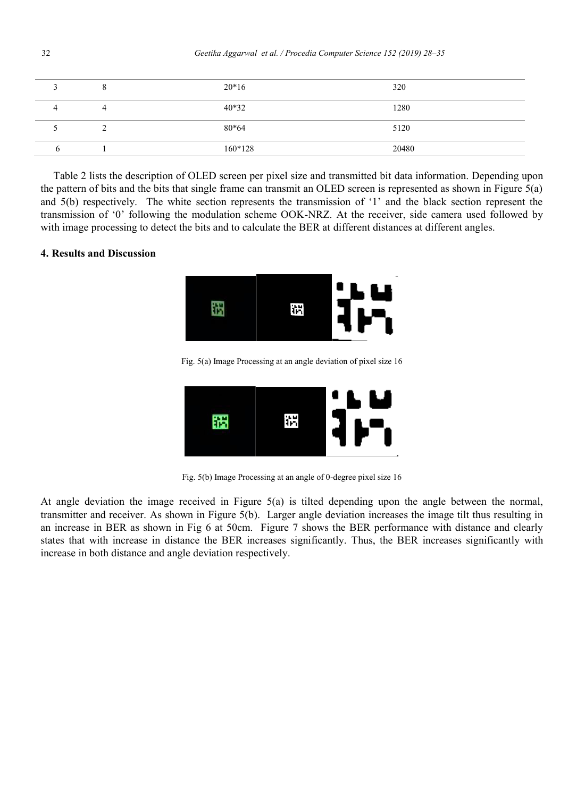|   |   | $20*16$   | 320   |
|---|---|-----------|-------|
|   | 4 | $40*32$   | 1280  |
|   |   | 80*64     | 5120  |
| n |   | $160*128$ | 20480 |

Table 2 lists the description of OLED screen per pixel size and transmitted bit data information. Depending upon the pattern of bits and the bits that single frame can transmit an OLED screen is represented as shown in Figure 5(a) and 5(b) respectively. The white section represents the transmission of '1' and the black section represent the transmission of '0' following the modulation scheme OOK-NRZ. At the receiver, side camera used followed by with image processing to detect the bits and to calculate the BER at different distances at different angles.

## **4. Results and Discussion**



Fig. 5(a) Image Processing at an angle deviation of pixel size 16



Fig. 5(b) Image Processing at an angle of 0-degree pixel size 16

At angle deviation the image received in Figure 5(a) is tilted depending upon the angle between the normal, transmitter and receiver. As shown in Figure 5(b). Larger angle deviation increases the image tilt thus resulting in an increase in BER as shown in Fig 6 at 50cm. Figure 7 shows the BER performance with distance and clearly states that with increase in distance the BER increases significantly. Thus, the BER increases significantly with increase in both distance and angle deviation respectively.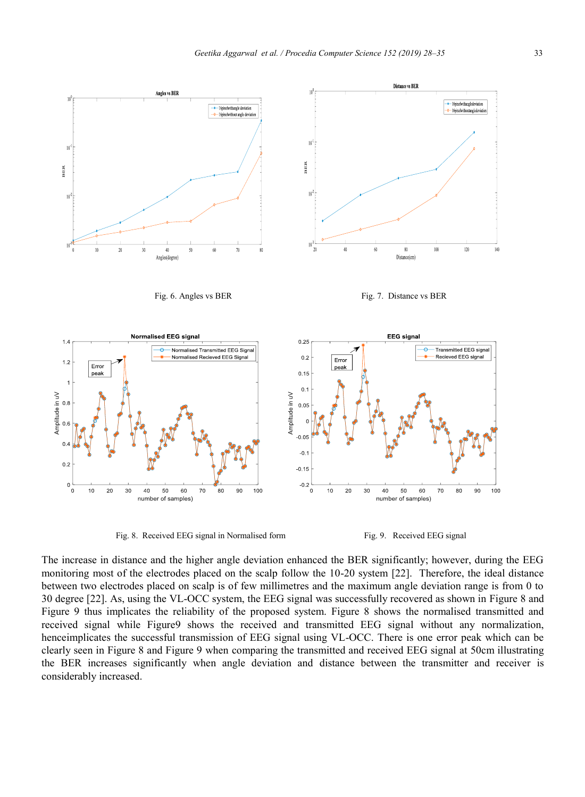

Fig. 8. Received EEG signal in Normalised form Fig. 9. Received EEG signal



The increase in distance and the higher angle deviation enhanced the BER significantly; however, during the EEG monitoring most of the electrodes placed on the scalp follow the 10-20 system [22]. Therefore, the ideal distance between two electrodes placed on scalp is of few millimetres and the maximum angle deviation range is from 0 to 30 degree [22]. As, using the VL-OCC system, the EEG signal was successfully recovered as shown in Figure 8 and Figure 9 thus implicates the reliability of the proposed system. Figure 8 shows the normalised transmitted and received signal while Figure9 shows the received and transmitted EEG signal without any normalization, henceimplicates the successful transmission of EEG signal using VL-OCC. There is one error peak which can be clearly seen in Figure 8 and Figure 9 when comparing the transmitted and received EEG signal at 50cm illustrating the BER increases significantly when angle deviation and distance between the transmitter and receiver is considerably increased.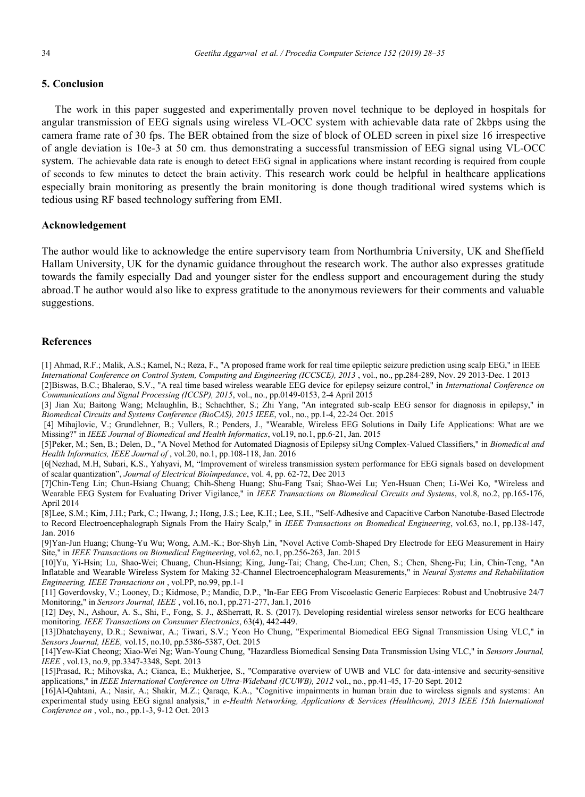### **5. Conclusion**

The work in this paper suggested and experimentally proven novel technique to be deployed in hospitals for angular transmission of EEG signals using wireless VL-OCC system with achievable data rate of 2kbps using the camera frame rate of 30 fps. The BER obtained from the size of block of OLED screen in pixel size 16 irrespective of angle deviation is 10e-3 at 50 cm. thus demonstrating a successful transmission of EEG signal using VL-OCC system. The achievable data rate is enough to detect EEG signal in applications where instant recording is required from couple of seconds to few minutes to detect the brain activity. This research work could be helpful in healthcare applications especially brain monitoring as presently the brain monitoring is done though traditional wired systems which is tedious using RF based technology suffering from EMI.

#### **Acknowledgement**

The author would like to acknowledge the entire supervisory team from Northumbria University, UK and Sheffield Hallam University, UK for the dynamic guidance throughout the research work. The author also expresses gratitude towards the family especially Dad and younger sister for the endless support and encouragement during the study abroad.T he author would also like to express gratitude to the anonymous reviewers for their comments and valuable suggestions.

#### **References**

[1] Ahmad, R.F.; Malik, A.S.; Kamel, N.; Reza, F., "A proposed frame work for real time epileptic seizure prediction using scalp EEG," in IEEE *International Conference on Control System, Computing and Engineering (ICCSCE), 2013* , vol., no., pp.284-289, Nov. 29 2013-Dec. 1 2013

[2]Biswas, B.C.; Bhalerao, S.V., "A real time based wireless wearable EEG device for epilepsy seizure control," in *International Conference on Communications and Signal Processing (ICCSP), 2015*, vol., no., pp.0149-0153, 2-4 April 2015

[3] Jian Xu; Baitong Wang; Mclaughlin, B.; Schachther, S.; Zhi Yang, "An integrated sub-scalp EEG sensor for diagnosis in epilepsy," in *Biomedical Circuits and Systems Conference (BioCAS), 2015 IEEE*, vol., no., pp.1-4, 22-24 Oct. 2015

[4] Mihajlovic, V.; Grundlehner, B.; Vullers, R.; Penders, J., "Wearable, Wireless EEG Solutions in Daily Life Applications: What are we Missing?" in *IEEE Journal of Biomedical and Health Informatics*, vol.19, no.1, pp.6-21, Jan. 2015

[5]Peker, M.; Sen, B.; Delen, D., "A Novel Method for Automated Diagnosis of Epilepsy siUng Complex-Valued Classifiers," in *Biomedical and Health Informatics, IEEE Journal of* , vol.20, no.1, pp.108-118, Jan. 2016

[6[Nezhad, M.H, Subari, K.S., Yahyavi, M, "Improvement of wireless transmission system performance for EEG signals based on development of scalar quantization", *Journal of Electrical Bioimpedance*, vol. 4, pp. 62-72, Dec 2013

[7]Chin-Teng Lin; Chun-Hsiang Chuang; Chih-Sheng Huang; Shu-Fang Tsai; Shao-Wei Lu; Yen-Hsuan Chen; Li-Wei Ko, "Wireless and Wearable EEG System for Evaluating Driver Vigilance," in *IEEE Transactions on Biomedical Circuits and Systems*, vol.8, no.2, pp.165-176, April 2014

[8]Lee, S.M.; Kim, J.H.; Park, C.; Hwang, J.; Hong, J.S.; Lee, K.H.; Lee, S.H., "Self-Adhesive and Capacitive Carbon Nanotube-Based Electrode to Record Electroencephalograph Signals From the Hairy Scalp," in *IEEE Transactions on Biomedical Engineering*, vol.63, no.1, pp.138-147, Jan. 2016

[9]Yan-Jun Huang; Chung-Yu Wu; Wong, A.M.-K.; Bor-Shyh Lin, "Novel Active Comb-Shaped Dry Electrode for EEG Measurement in Hairy Site," in *IEEE Transactions on Biomedical Engineering*, vol.62, no.1, pp.256-263, Jan. 2015

[10]Yu, Yi-Hsin; Lu, Shao-Wei; Chuang, Chun-Hsiang; King, Jung-Tai; Chang, Che-Lun; Chen, S.; Chen, Sheng-Fu; Lin, Chin-Teng, "An Inflatable and Wearable Wireless System for Making 32-Channel Electroencephalogram Measurements," in *Neural Systems and Rehabilitation Engineering, IEEE Transactions on* , vol.PP, no.99, pp.1-1

[11] Goverdovsky, V.; Looney, D.; Kidmose, P.; Mandic, D.P., "In-Ear EEG From Viscoelastic Generic Earpieces: Robust and Unobtrusive 24/7 Monitoring," in *Sensors Journal, IEEE* , vol.16, no.1, pp.271-277, Jan.1, 2016

[12] Dey, N., Ashour, A. S., Shi, F., Fong, S. J., &Sherratt, R. S. (2017). Developing residential wireless sensor networks for ECG healthcare monitoring. *IEEE Transactions on Consumer Electronics*, 63(4), 442-449.

[13]Dhatchayeny, D.R.; Sewaiwar, A.; Tiwari, S.V.; Yeon Ho Chung, "Experimental Biomedical EEG Signal Transmission Using VLC," in *Sensors Journal, IEEE,* vol.15, no.10, pp.5386-5387, Oct. 2015

[14]Yew-Kiat Cheong; Xiao-Wei Ng; Wan-Young Chung, "Hazardless Biomedical Sensing Data Transmission Using VLC," in *Sensors Journal, IEEE* , vol.13, no.9, pp.3347-3348, Sept. 2013

[15]Prasad, R.; Mihovska, A.; Cianca, E.; Mukherjee, S., "Comparative overview of UWB and VLC for data-intensive and security-sensitive applications," in *IEEE International Conference on Ultra-Wideband (ICUWB), 2012* vol., no., pp.41-45, 17-20 Sept. 2012

[16]Al-Qahtani, A.; Nasir, A.; Shakir, M.Z.; Qaraqe, K.A., "Cognitive impairments in human brain due to wireless signals and systems: An experimental study using EEG signal analysis," in *e-Health Networking, Applications & Services (Healthcom), 2013 IEEE 15th International Conference on* , vol., no., pp.1-3, 9-12 Oct. 2013